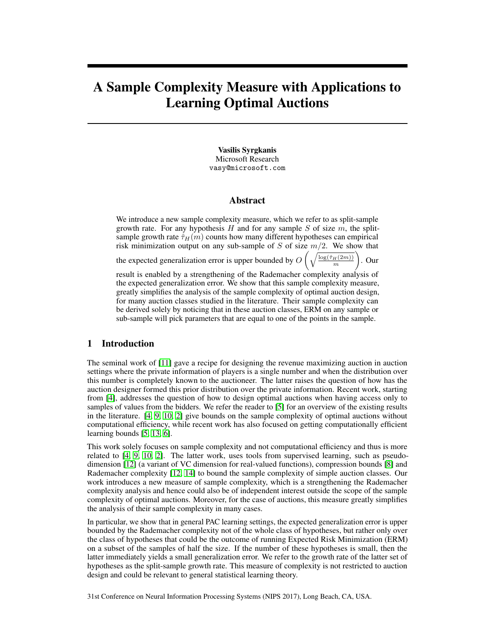# A Sample Complexity Measure with Applications to Learning Optimal Auctions

Vasilis Syrgkanis Microsoft Research vasy@microsoft.com

#### Abstract

We introduce a new sample complexity measure, which we refer to as split-sample growth rate. For any hypothesis H and for any sample S of size  $m$ , the splitsample growth rate  $\hat{\tau}_H(m)$  counts how many different hypotheses can empirical risk minimization output on any sub-sample of S of size  $m/2$ . We show that

 $\big)$ . Our

the expected generalization error is upper bounded by  $O\left(\sqrt{\frac{\log(\hat{\tau}_H(2m))}{m}}\right)$ 

result is enabled by a strengthening of the Rademacher complexity analysis of the expected generalization error. We show that this sample complexity measure, greatly simplifies the analysis of the sample complexity of optimal auction design, for many auction classes studied in the literature. Their sample complexity can be derived solely by noticing that in these auction classes, ERM on any sample or sub-sample will pick parameters that are equal to one of the points in the sample.

#### 1 Introduction

The seminal work of [11] gave a recipe for designing the revenue maximizing auction in auction settings where the private information of players is a single number and when the distribution over this number is completely known to the auctioneer. The latter raises the question of how has the auction designer formed this prior distribution over the private information. Recent work, starting from [4], addresses the question of how to design optimal auctions when having access only to samples of values from the bidders. We refer the reader to [5] for an overview of the existing results in the literature. [4, 9, 10, 2] give bounds on the sample complexity of optimal auctions without computational efficiency, while recent work has also focused on getting computationally efficient learning bounds [5, 13, 6].

This work solely focuses on sample complexity and not computational efficiency and thus is more related to [4, 9, 10, 2]. The latter work, uses tools from supervised learning, such as pseudodimension [12] (a variant of VC dimension for real-valued functions), compression bounds [8] and Rademacher complexity [12, 14] to bound the sample complexity of simple auction classes. Our work introduces a new measure of sample complexity, which is a strengthening the Rademacher complexity analysis and hence could also be of independent interest outside the scope of the sample complexity of optimal auctions. Moreover, for the case of auctions, this measure greatly simplifies the analysis of their sample complexity in many cases.

In particular, we show that in general PAC learning settings, the expected generalization error is upper bounded by the Rademacher complexity not of the whole class of hypotheses, but rather only over the class of hypotheses that could be the outcome of running Expected Risk Minimization (ERM) on a subset of the samples of half the size. If the number of these hypotheses is small, then the latter immediately yields a small generalization error. We refer to the growth rate of the latter set of hypotheses as the split-sample growth rate. This measure of complexity is not restricted to auction design and could be relevant to general statistical learning theory.

31st Conference on Neural Information Processing Systems (NIPS 2017), Long Beach, CA, USA.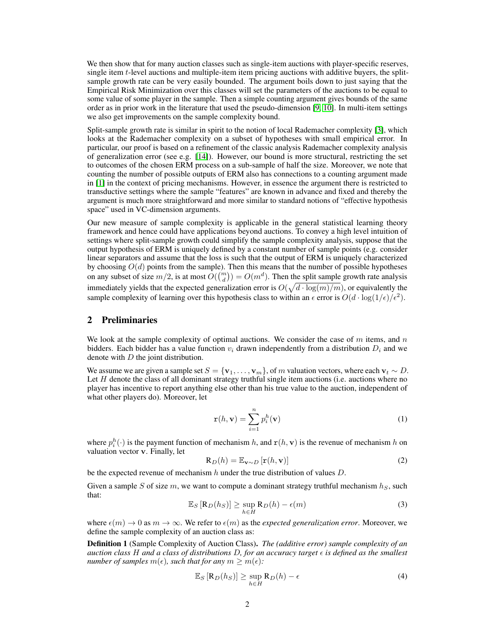We then show that for many auction classes such as single-item auctions with player-specific reserves, single item t-level auctions and multiple-item item pricing auctions with additive buyers, the splitsample growth rate can be very easily bounded. The argument boils down to just saying that the Empirical Risk Minimization over this classes will set the parameters of the auctions to be equal to some value of some player in the sample. Then a simple counting argument gives bounds of the same order as in prior work in the literature that used the pseudo-dimension [9, 10]. In multi-item settings we also get improvements on the sample complexity bound.

Split-sample growth rate is similar in spirit to the notion of local Rademacher complexity [3], which looks at the Rademacher complexity on a subset of hypotheses with small empirical error. In particular, our proof is based on a refinement of the classic analysis Rademacher complexity analysis of generalization error (see e.g. [14]). However, our bound is more structural, restricting the set to outcomes of the chosen ERM process on a sub-sample of half the size. Moreover, we note that counting the number of possible outputs of ERM also has connections to a counting argument made in [1] in the context of pricing mechanisms. However, in essence the argument there is restricted to transductive settings where the sample "features" are known in advance and fixed and thereby the argument is much more straightforward and more similar to standard notions of "effective hypothesis space" used in VC-dimension arguments.

Our new measure of sample complexity is applicable in the general statistical learning theory framework and hence could have applications beyond auctions. To convey a high level intuition of settings where split-sample growth could simplify the sample complexity analysis, suppose that the output hypothesis of ERM is uniquely defined by a constant number of sample points (e.g. consider linear separators and assume that the loss is such that the output of ERM is uniquely characterized by choosing  $O(d)$  points from the sample). Then this means that the number of possible hypotheses on any subset of size  $m/2$ , is at most  $O({m \choose d}) = O(m^d)$ . Then the split sample growth rate analysis immediately yields that the expected generalization error is  $O(\sqrt{d \cdot \log(m)/m})$ , or equivalently the sample complexity of learning over this hypothesis class to within an  $\epsilon$  error is  $O(d \cdot \log(1/\epsilon)/\epsilon^2)$ .

# 2 Preliminaries

We look at the sample complexity of optimal auctions. We consider the case of m items, and n bidders. Each bidder has a value function  $v_i$  drawn independently from a distribution  $D_i$  and we denote with  $D$  the joint distribution.

We assume we are given a sample set  $S = \{v_1, \ldots, v_m\}$ , of m valuation vectors, where each  $v_t \sim D$ . Let  $H$  denote the class of all dominant strategy truthful single item auctions (i.e. auctions where no player has incentive to report anything else other than his true value to the auction, independent of what other players do). Moreover, let

$$
\mathbf{r}(h, \mathbf{v}) = \sum_{i=1}^{n} p_i^h(\mathbf{v})
$$
 (1)

where  $p_i^h(\cdot)$  is the payment function of mechanism h, and  $\mathbf{r}(h, \mathbf{v})$  is the revenue of mechanism h on valuation vector v. Finally, let

$$
\mathbf{R}_D(h) = \mathbb{E}_{\mathbf{v} \sim D} \left[ \mathbf{r}(h, \mathbf{v}) \right]
$$
 (2)

be the expected revenue of mechanism h under the true distribution of values  $D$ .

Given a sample S of size m, we want to compute a dominant strategy truthful mechanism  $h<sub>S</sub>$ , such that:

$$
\mathbb{E}_S\left[\mathbf{R}_D(h_S)\right] \ge \sup_{h \in H} \mathbf{R}_D(h) - \epsilon(m) \tag{3}
$$

where  $\epsilon(m) \to 0$  as  $m \to \infty$ . We refer to  $\epsilon(m)$  as the *expected generalization error*. Moreover, we define the sample complexity of an auction class as:

Definition 1 (Sample Complexity of Auction Class). *The (additive error) sample complexity of an auction class* H *and a class of distributions* D*, for an accuracy target is defined as the smallest number of samples*  $m(\epsilon)$ , such that for any  $m \geq m(\epsilon)$ :

$$
\mathbb{E}_S\left[\mathbf{R}_D(h_S)\right] \ge \sup_{h \in H} \mathbf{R}_D(h) - \epsilon \tag{4}
$$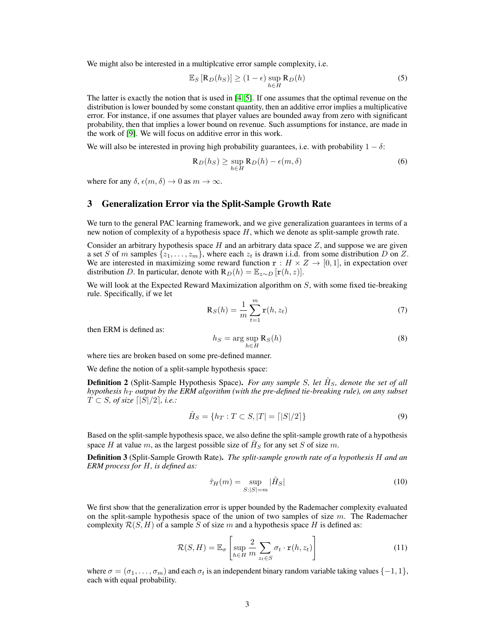We might also be interested in a multiplcative error sample complexity, *i.e.* 

$$
\mathbb{E}_S [\mathbf{R}_D(h_S)] \ge (1 - \epsilon) \sup_{h \in H} \mathbf{R}_D(h)
$$
 (5)

The latter is exactly the notion that is used in [4, 5]. If one assumes that the optimal revenue on the distribution is lower bounded by some constant quantity, then an additive error implies a multiplicative error. For instance, if one assumes that player values are bounded away from zero with significant probability, then that implies a lower bound on revenue. Such assumptions for instance, are made in the work of [9]. We will focus on additive error in this work.

We will also be interested in proving high probability guarantees, i.e. with probability  $1 - \delta$ :

$$
\mathbf{R}_D(h_S) \ge \sup_{h \in H} \mathbf{R}_D(h) - \epsilon(m, \delta) \tag{6}
$$

where for any  $\delta$ ,  $\epsilon(m, \delta) \rightarrow 0$  as  $m \rightarrow \infty$ .

#### 3 Generalization Error via the Split-Sample Growth Rate

We turn to the general PAC learning framework, and we give generalization guarantees in terms of a new notion of complexity of a hypothesis space  $H$ , which we denote as split-sample growth rate.

Consider an arbitrary hypothesis space  $H$  and an arbitrary data space  $Z$ , and suppose we are given a set S of m samples  $\{z_1, \ldots, z_m\}$ , where each  $z_t$  is drawn i.i.d. from some distribution D on Z. We are interested in maximizing some reward function  $\mathbf{r} : H \times Z \to [0, 1]$ , in expectation over distribution D. In particular, denote with  $R_D(h) = \mathbb{E}_{z \sim D} [r(h, z)].$ 

We will look at the Expected Reward Maximization algorithm on  $S$ , with some fixed tie-breaking rule. Specifically, if we let

$$
\mathbf{R}_S(h) = \frac{1}{m} \sum_{t=1}^m \mathbf{r}(h, z_t)
$$
\n(7)

then ERM is defined as:

$$
h_S = \arg\sup_{h \in H} \mathbf{R}_S(h) \tag{8}
$$

where ties are broken based on some pre-defined manner.

We define the notion of a split-sample hypothesis space:

**Definition 2** (Split-Sample Hypothesis Space). *For any sample S, let*  $\hat{H}_S$ , denote the set of all  $h$ ypothesis  $h<sub>T</sub>$  *output by the ERM algorithm (with the pre-defined tie-breaking rule), on any subset*  $\overline{T} \subset S$ *, of size*  $\lfloor |\overline{S}|/2 \rfloor$ *, i.e.:* 

$$
\hat{H}_S = \{ h_T : T \subset S, |T| = \lceil |S|/2 \rceil \}
$$
\n(9)

Based on the split-sample hypothesis space, we also define the split-sample growth rate of a hypothesis space H at value m, as the largest possible size of  $\hat{H}_S$  for any set S of size m.

Definition 3 (Split-Sample Growth Rate). *The split-sample growth rate of a hypothesis* H *and an ERM process for* H*, is defined as:*

$$
\hat{\tau}_H(m) = \sup_{S:|S|=m} |\hat{H}_S| \tag{10}
$$

We first show that the generalization error is upper bounded by the Rademacher complexity evaluated on the split-sample hypothesis space of the union of two samples of size  $m$ . The Rademacher complexity  $\mathcal{R}(S, H)$  of a sample S of size m and a hypothesis space H is defined as:

$$
\mathcal{R}(S, H) = \mathbb{E}_{\sigma} \left[ \sup_{h \in H} \frac{2}{m} \sum_{z_t \in S} \sigma_t \cdot \mathbf{r}(h, z_t) \right]
$$
(11)

where  $\sigma = (\sigma_1, \ldots, \sigma_m)$  and each  $\sigma_t$  is an independent binary random variable taking values {-1, 1}, each with equal probability.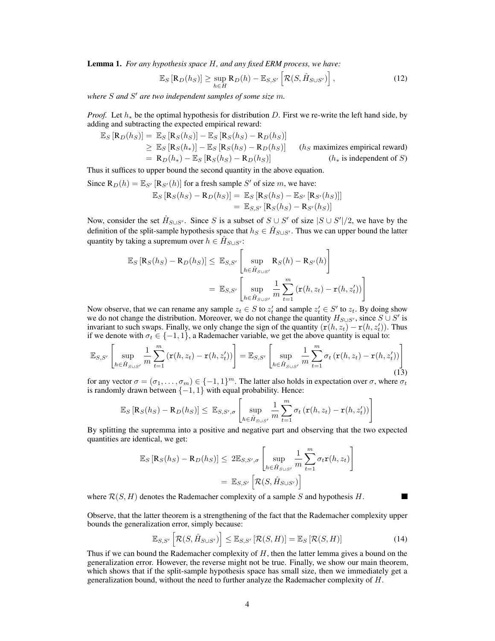Lemma 1. *For any hypothesis space* H*, and any fixed ERM process, we have:*

$$
\mathbb{E}_S\left[\mathbf{R}_D(h_S)\right] \ge \sup_{h \in H} \mathbf{R}_D(h) - \mathbb{E}_{S,S'}\left[\mathcal{R}(S, \hat{H}_{S \cup S'})\right],\tag{12}
$$

*where* S *and* S <sup>0</sup> *are two independent samples of some size* m*.*

*Proof.* Let  $h_*$  be the optimal hypothesis for distribution D. First we re-write the left hand side, by adding and subtracting the expected empirical reward:

$$
\mathbb{E}_{S} [\mathbf{R}_{D}(h_{S})] = \mathbb{E}_{S} [\mathbf{R}_{S}(h_{S})] - \mathbb{E}_{S} [\mathbf{R}_{S}(h_{S}) - \mathbf{R}_{D}(h_{S})]
$$
  
\n
$$
\geq \mathbb{E}_{S} [\mathbf{R}_{S}(h_{*})] - \mathbb{E}_{S} [\mathbf{R}_{S}(h_{S}) - \mathbf{R}_{D}(h_{S})]
$$
 (*h<sub>S</sub>* maximizes empirical reward)  
\n
$$
= \mathbf{R}_{D}(h_{*}) - \mathbb{E}_{S} [\mathbf{R}_{S}(h_{S}) - \mathbf{R}_{D}(h_{S})]
$$
 (*h<sub>s</sub>* is independent of *S*)

Thus it suffices to upper bound the second quantity in the above equation.

Since  $\mathbf{R}_D(h) = \mathbb{E}_{S'} [\mathbf{R}_{S'}(h)]$  for a fresh sample S' of size m, we have:

$$
\mathbb{E}_S [\mathbf{R}_S(h_S) - \mathbf{R}_D(h_S)] = \mathbb{E}_S [\mathbf{R}_S(h_S) - \mathbb{E}_{S'} [\mathbf{R}_{S'}(h_S)]]
$$
  
=  $\mathbb{E}_{S,S'} [\mathbf{R}_S(h_S) - \mathbf{R}_{S'}(h_S)]$ 

Now, consider the set  $\hat{H}_{S\cup S'}$ . Since S is a subset of  $S\cup S'$  of size  $|S\cup S'|/2$ , we have by the definition of the split-sample hypothesis space that  $h_S \in \hat{H}_{S \cup S'}$ . Thus we can upper bound the latter quantity by taking a supremum over  $h \in \hat{H}_{S \cup S'}$ :

$$
\mathbb{E}_{S} [\mathbf{R}_{S}(h_{S}) - \mathbf{R}_{D}(h_{S})] \leq \mathbb{E}_{S,S'} \left[ \sup_{h \in \hat{H}_{S \cup S'}} \mathbf{R}_{S}(h) - \mathbf{R}_{S'}(h) \right]
$$

$$
= \mathbb{E}_{S,S'} \left[ \sup_{h \in \hat{H}_{S \cup S'}} \frac{1}{m} \sum_{t=1}^{m} \left( \mathbf{r}(h, z_{t}) - \mathbf{r}(h, z'_{t}) \right) \right]
$$

Now observe, that we can rename any sample  $z_t \in S$  to  $z_t$  and sample  $z_t \in S'$  to  $z_t$ . By doing show we do not change the distribution. Moreover, we do not change the quantity  $H_{S\cup S'}$ , since  $S\cup S'$  is invariant to such swaps. Finally, we only change the sign of the quantity  $(r(h, z_t) - r(h, z'_t))$ . Thus if we denote with  $\sigma_t \in \{-1, 1\}$ , a Rademacher variable, we get the above quantity is equal to:

$$
\mathbb{E}_{S,S'}\left[\sup_{h\in\hat{H}_{S\cup S'}}\frac{1}{m}\sum_{t=1}^m\left(\mathbf{r}(h,z_t)-\mathbf{r}(h,z'_t)\right)\right]=\mathbb{E}_{S,S'}\left[\sup_{h\in\hat{H}_{S\cup S'}}\frac{1}{m}\sum_{t=1}^m\sigma_t\left(\mathbf{r}(h,z_t)-\mathbf{r}(h,z'_t)\right)\right]
$$
(13)

for any vector  $\sigma = (\sigma_1, \dots, \sigma_m) \in \{-1, 1\}^m$ . The latter also holds in expectation over  $\sigma$ , where  $\sigma_t$ is randomly drawn between  $\{-1, 1\}$  with equal probability. Hence:

$$
\mathbb{E}_S\left[\mathbf{R}_S(h_S) - \mathbf{R}_D(h_S)\right] \leq \mathbb{E}_{S,S',\sigma}\left[\sup_{h \in \hat{H}_{S \cup S'}} \frac{1}{m} \sum_{t=1}^m \sigma_t\left(\mathbf{r}(h,z_t) - \mathbf{r}(h,z'_t)\right)\right]
$$

By splitting the supremma into a positive and negative part and observing that the two expected quantities are identical, we get:

$$
\mathbb{E}_{S} [\mathbf{R}_{S}(h_{S}) - \mathbf{R}_{D}(h_{S})] \leq 2 \mathbb{E}_{S,S',\sigma} \left[ \sup_{h \in \hat{H}_{S \cup S'}} \frac{1}{m} \sum_{t=1}^{m} \sigma_{t} \mathbf{r}(h,z_{t}) \right]
$$

$$
= \mathbb{E}_{S,S'} \left[ \mathcal{R}(S, \hat{H}_{S \cup S'}) \right]
$$

where  $\mathcal{R}(S, H)$  denotes the Rademacher complexity of a sample S and hypothesis H.

Observe, that the latter theorem is a strengthening of the fact that the Rademacher complexity upper bounds the generalization error, simply because:

$$
\mathbb{E}_{S,S'}\left[\mathcal{R}(S,\hat{H}_{S\cup S'})\right] \leq \mathbb{E}_{S,S'}\left[\mathcal{R}(S,H)\right] = \mathbb{E}_{S}\left[\mathcal{R}(S,H)\right]
$$
(14)

Thus if we can bound the Rademacher complexity of  $H$ , then the latter lemma gives a bound on the generalization error. However, the reverse might not be true. Finally, we show our main theorem, which shows that if the split-sample hypothesis space has small size, then we immediately get a generalization bound, without the need to further analyze the Rademacher complexity of H.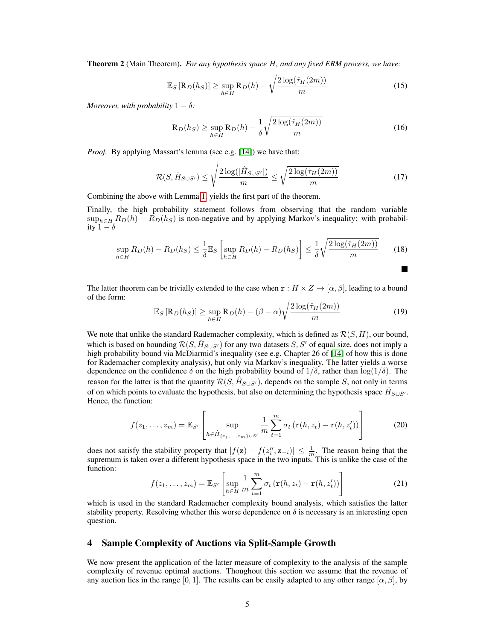Theorem 2 (Main Theorem). *For any hypothesis space* H*, and any fixed ERM process, we have:*

$$
\mathbb{E}_S\left[\mathbf{R}_D(h_S)\right] \ge \sup_{h \in H} \mathbf{R}_D(h) - \sqrt{\frac{2\log(\hat{\tau}_H(2m))}{m}}\tag{15}
$$

*Moreover, with probability*  $1 - \delta$ *:* 

$$
\mathbf{R}_D(h_S) \ge \sup_{h \in H} \mathbf{R}_D(h) - \frac{1}{\delta} \sqrt{\frac{2\log(\hat{\tau}_H(2m))}{m}} \tag{16}
$$

*Proof.* By applying Massart's lemma (see e.g. [14]) we have that:

$$
\mathcal{R}(S, \hat{H}_{S \cup S'}) \le \sqrt{\frac{2\log(|\hat{H}_{S \cup S'}|)}{m}} \le \sqrt{\frac{2\log(\hat{\tau}_H(2m))}{m}} \tag{17}
$$

Combining the above with Lemma 1, yields the first part of the theorem.

Finally, the high probability statement follows from observing that the random variable  $\sup_{h \in H} R_D(h) - R_D(h_S)$  is non-negative and by applying Markov's inequality: with probability  $1 - \delta$ 

$$
\sup_{h \in H} R_D(h) - R_D(h_S) \le \frac{1}{\delta} \mathbb{E}_S \left[ \sup_{h \in H} R_D(h) - R_D(h_S) \right] \le \frac{1}{\delta} \sqrt{\frac{2 \log(\hat{\tau}_H(2m))}{m}} \tag{18}
$$

The latter theorem can be trivially extended to the case when  $\mathbf{r} : H \times Z \to [\alpha, \beta]$ , leading to a bound of the form:

$$
\mathbb{E}_S\left[\mathbf{R}_D(h_S)\right] \ge \sup_{h \in H} \mathbf{R}_D(h) - (\beta - \alpha) \sqrt{\frac{2\log(\hat{\tau}_H(2m))}{m}} \tag{19}
$$

We note that unlike the standard Rademacher complexity, which is defined as  $\mathcal{R}(S, H)$ , our bound, which is based on bounding  $\mathcal{R}(S, \hat{H}_{S\cup S'})$  for any two datasets  $S, S'$  of equal size, does not imply a high probability bound via McDiarmid's inequality (see e.g. Chapter 26 of [14] of how this is done for Rademacher complexity analysis), but only via Markov's inequality. The latter yields a worse dependence on the confidence  $\delta$  on the high probability bound of  $1/\delta$ , rather than  $\log(1/\delta)$ . The reason for the latter is that the quantity  $\mathcal{R}(S, \hat{H}_{S\cup S'})$ , depends on the sample S, not only in terms of on which points to evaluate the hypothesis, but also on determining the hypothesis space  $\hat{H}_{S\cup S'}$ . Hence, the function:

$$
f(z_1,...,z_m) = \mathbb{E}_{S'}\left[\sup_{h \in \hat{H}_{\{z_1,...,z_m\}\cup S'}} \frac{1}{m} \sum_{t=1}^m \sigma_t \left( \mathbf{r}(h, z_t) - \mathbf{r}(h, z'_t) \right) \right]
$$
(20)

does not satisfy the stability property that  $|f(z) - f(z''_i, z_{-i})| \leq \frac{1}{m}$ . The reason being that the supremum is taken over a different hypothesis space in the two inputs. This is unlike the case of the function:

$$
f(z_1,\ldots,z_m) = \mathbb{E}_{S'}\left[\sup_{h\in H} \frac{1}{m} \sum_{t=1}^m \sigma_t \left(\mathbf{r}(h,z_t) - \mathbf{r}(h,z'_t)\right)\right]
$$
(21)

which is used in the standard Rademacher complexity bound analysis, which satisfies the latter stability property. Resolving whether this worse dependence on  $\delta$  is necessary is an interesting open question.

# 4 Sample Complexity of Auctions via Split-Sample Growth

We now present the application of the latter measure of complexity to the analysis of the sample complexity of revenue optimal auctions. Thoughout this section we assume that the revenue of any auction lies in the range [0, 1]. The results can be easily adapted to any other range [ $\alpha$ ,  $\beta$ ], by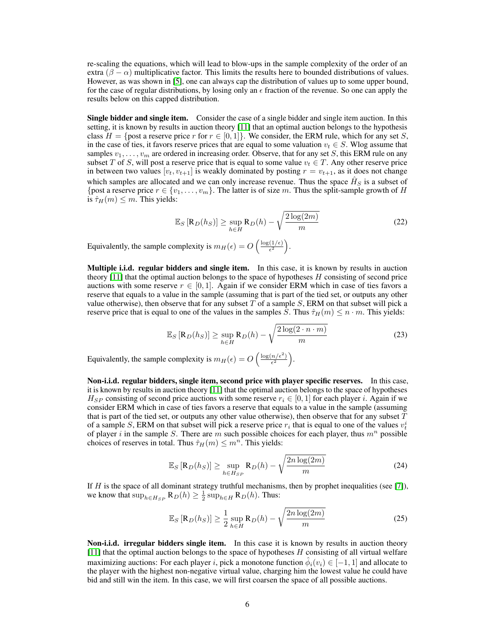re-scaling the equations, which will lead to blow-ups in the sample complexity of the order of an extra ( $\beta - \alpha$ ) multiplicative factor. This limits the results here to bounded distributions of values. However, as was shown in [5], one can always cap the distribution of values up to some upper bound, for the case of regular distributions, by losing only an  $\epsilon$  fraction of the revenue. So one can apply the results below on this capped distribution.

**Single bidder and single item.** Consider the case of a single bidder and single item auction. In this setting, it is known by results in auction theory [11] that an optimal auction belongs to the hypothesis class  $H = \{\text{post a reserve price } r \text{ for } r \in [0, 1]\}.$  We consider, the ERM rule, which for any set S, in the case of ties, it favors reserve prices that are equal to some valuation  $v_t \in S$ . Wlog assume that samples  $v_1, \ldots, v_m$  are ordered in increasing order. Observe, that for any set S, this ERM rule on any subset T of S, will post a reserve price that is equal to some value  $v_t \in T$ . Any other reserve price in between two values  $[v_t, v_{t+1}]$  is weakly dominated by posting  $r = v_{t+1}$ , as it does not change which samples are allocated and we can only increase revenue. Thus the space  $\hat{H}_S$  is a subset of {post a reserve price  $r \in \{v_1, \ldots, v_m\}$ . The latter is of size m. Thus the split-sample growth of H is  $\hat{\tau}_H(m) \leq m$ . This yields:

$$
\mathbb{E}_S\left[\mathbf{R}_D(h_S)\right] \ge \sup_{h \in H} \mathbf{R}_D(h) - \sqrt{\frac{2\log(2m)}{m}}\tag{22}
$$

Equivalently, the sample complexity is  $m_H(\epsilon) = O\left(\frac{\log(1/\epsilon)}{\epsilon^2}\right)$  $\frac{(1/\epsilon)}{\epsilon^2}\bigg).$ 

Multiple i.i.d. regular bidders and single item. In this case, it is known by results in auction theory  $[11]$  that the optimal auction belongs to the space of hypotheses  $H$  consisting of second price auctions with some reserve  $r \in [0, 1]$ . Again if we consider ERM which in case of ties favors a reserve that equals to a value in the sample (assuming that is part of the tied set, or outputs any other value otherwise), then observe that for any subset  $T$  of a sample  $S$ , ERM on that subset will pick a reserve price that is equal to one of the values in the samples S. Thus  $\hat{\tau}_H(m) \leq n \cdot m$ . This yields:

$$
\mathbb{E}_S\left[\mathbf{R}_D(h_S)\right] \ge \sup_{h \in H} \mathbf{R}_D(h) - \sqrt{\frac{2\log(2 \cdot n \cdot m)}{m}}\tag{23}
$$

Equivalently, the sample complexity is  $m_H(\epsilon) = O\left(\frac{\log(n/\epsilon^2)}{\epsilon^2}\right)$  $\frac{n/\epsilon^2}{\epsilon^2}\bigg).$ 

Non-i.i.d. regular bidders, single item, second price with player specific reserves. In this case, it is known by results in auction theory [11] that the optimal auction belongs to the space of hypotheses  $H_{SP}$  consisting of second price auctions with some reserve  $r_i \in [0,1]$  for each player i. Again if we consider ERM which in case of ties favors a reserve that equals to a value in the sample (assuming that is part of the tied set, or outputs any other value otherwise), then observe that for any subset  $T$ of a sample S, ERM on that subset will pick a reserve price  $r_i$  that is equal to one of the values  $v_t^i$ of player i in the sample S. There are m such possible choices for each player, thus  $m<sup>n</sup>$  possible choices of reserves in total. Thus  $\hat{\tau}_H(m) \leq m^n$ . This yields:

$$
\mathbb{E}_S\left[\mathbf{R}_D(h_S)\right] \ge \sup_{h \in H_{SP}} \mathbf{R}_D(h) - \sqrt{\frac{2n \log(2m)}{m}}\tag{24}
$$

If  $H$  is the space of all dominant strategy truthful mechanisms, then by prophet inequalities (see [7]), we know that  $\sup_{h \in H_{SP}} R_D(h) \geq \frac{1}{2} \sup_{h \in H} R_D(h)$ . Thus:

$$
\mathbb{E}_S\left[\mathbf{R}_D(h_S)\right] \ge \frac{1}{2} \sup_{h \in H} \mathbf{R}_D(h) - \sqrt{\frac{2n \log(2m)}{m}} \tag{25}
$$

Non-i.i.d. irregular bidders single item. In this case it is known by results in auction theory [11] that the optimal auction belongs to the space of hypotheses H consisting of all virtual welfare maximizing auctions: For each player i, pick a monotone function  $\hat{\phi}_i(v_i) \in [-1,1]$  and allocate to the player with the highest non-negative virtual value, charging him the lowest value he could have bid and still win the item. In this case, we will first coarsen the space of all possible auctions.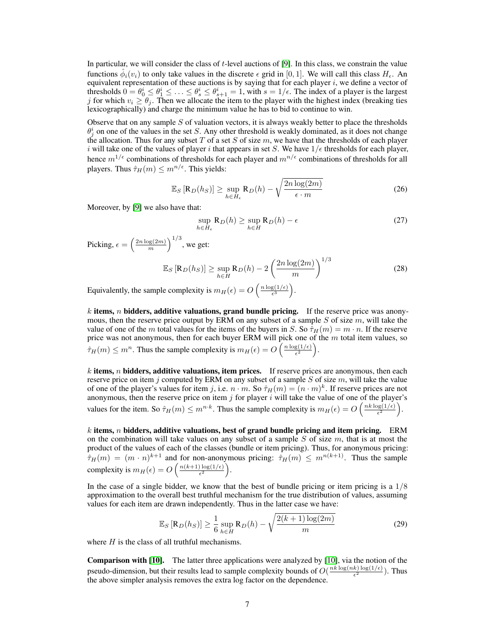In particular, we will consider the class of t-level auctions of [9]. In this class, we constrain the value functions  $\hat{\phi}_i(v_i)$  to only take values in the discrete  $\epsilon$  grid in [0, 1]. We will call this class  $H_{\epsilon}$ . An equivalent representation of these auctions is by saying that for each player  $i$ , we define a vector of thresholds  $0 = \theta_0^i \le \theta_1^i \le \ldots \le \theta_s^i \le \theta_{s+1}^i = 1$ , with  $s = 1/\epsilon$ . The index of a player is the largest j for which  $v_i \ge \theta_j$ . Then we allocate the item to the player with the highest index (breaking ties lexicographically) and charge the minimum value he has to bid to continue to win.

Observe that on any sample  $S$  of valuation vectors, it is always weakly better to place the thresholds  $\theta_j^i$  on one of the values in the set S. Any other threshold is weakly dominated, as it does not change the allocation. Thus for any subset T of a set S of size  $m$ , we have that the thresholds of each player i will take one of the values of player i that appears in set S. We have  $1/\epsilon$  thresholds for each player, hence  $m^{1/\epsilon}$  combinations of thresholds for each player and  $m^{n/\epsilon}$  combinations of thresholds for all players. Thus  $\hat{\tau}_H(m) \leq m^{n/\epsilon}$ . This yields:

$$
\mathbb{E}_S\left[\mathbf{R}_D(h_S)\right] \ge \sup_{h \in H_{\epsilon}} \mathbf{R}_D(h) - \sqrt{\frac{2n \log(2m)}{\epsilon \cdot m}} \tag{26}
$$

Moreover, by [9] we also have that:

$$
\sup_{h \in H_{\epsilon}} \mathbf{R}_D(h) \ge \sup_{h \in H} \mathbf{R}_D(h) - \epsilon
$$
\n(27)

Picking,  $\epsilon = \left(\frac{2n \log(2m)}{m}\right)$  $\frac{\log(2m)}{m}\Big)^{1/3}$ , we get:

$$
\mathbb{E}_S\left[\mathbf{R}_D(h_S)\right] \ge \sup_{h \in H} \mathbf{R}_D(h) - 2\left(\frac{2n\log(2m)}{m}\right)^{1/3} \tag{28}
$$

Equivalently, the sample complexity is  $m_H(\epsilon) = O\left(\frac{n \log(1/\epsilon)}{\epsilon^3}\right)$  $\frac{\mathrm{g}(1/\epsilon)}{\epsilon^3}\bigg).$ 

k items, n bidders, additive valuations, grand bundle pricing. If the reserve price was anonymous, then the reserve price output by ERM on any subset of a sample  $S$  of size  $m$ , will take the value of one of the m total values for the items of the buyers in S. So  $\hat{\tau}_H(m) = m \cdot n$ . If the reserve price was not anonymous, then for each buyer ERM will pick one of the  $m$  total item values, so  $\hat{\tau}_H(m) \leq m^n$ . Thus the sample complexity is  $m_H(\epsilon) = O\left(\frac{n \log(1/\epsilon)}{\epsilon^2}\right)$  $\frac{\mathrm{g}(1/\epsilon)}{\epsilon^2}\bigg).$ 

 $k$  items, n bidders, additive valuations, item prices. If reserve prices are anonymous, then each reserve price on item  $\dot{\gamma}$  computed by ERM on any subset of a sample S of size m, will take the value of one of the player's values for item j, i.e.  $n \cdot m$ . So  $\hat{\tau}_H(m) = (n \cdot m)^k$ . If reserve prices are not anonymous, then the reserve price on item  $j$  for player  $i$  will take the value of one of the player's values for the item. So  $\hat{\tau}_H(m) \leq m^{n \cdot k}$ . Thus the sample complexity is  $m_H(\epsilon) = O\left(\frac{nk \log(1/\epsilon)}{\epsilon^2}\right)$  $\frac{\log(1/\epsilon)}{\epsilon^2}\bigg).$ 

 $k$  items, n bidders, additive valuations, best of grand bundle pricing and item pricing. ERM on the combination will take values on any subset of a sample  $S$  of size  $m$ , that is at most the product of the values of each of the classes (bundle or item pricing). Thus, for anonymous pricing:  $\hat{\tau}_H(m) = (m \cdot n)^{k+1}$  and for non-anonymous pricing:  $\hat{\tau}_H(m) \leq m^{n(k+1)}$ . Thus the sample complexity is  $m_H(\epsilon) = O\left(\frac{n(k+1)\log(1/\epsilon)}{\epsilon^2}\right)$  $\frac{\log(1/\epsilon)}{\epsilon^2}$ .

In the case of a single bidder, we know that the best of bundle pricing or item pricing is a  $1/8$ approximation to the overall best truthful mechanism for the true distribution of values, assuming values for each item are drawn independently. Thus in the latter case we have:

$$
\mathbb{E}_S [R_D(h_S)] \ge \frac{1}{6} \sup_{h \in H} R_D(h) - \sqrt{\frac{2(k+1)\log(2m)}{m}}
$$
(29)

where  $H$  is the class of all truthful mechanisms.

Comparison with [10]. The latter three applications were analyzed by [10], via the notion of the pseudo-dimension, but their results lead to sample complexity bounds of  $O(\frac{nk \log(nk) \log(1/\epsilon)}{\epsilon^2})$  $\frac{\kappa}{\epsilon^2}$   $\frac{\log(1/\epsilon)}{\epsilon^2}$ ). Thus the above simpler analysis removes the extra log factor on the dependence.